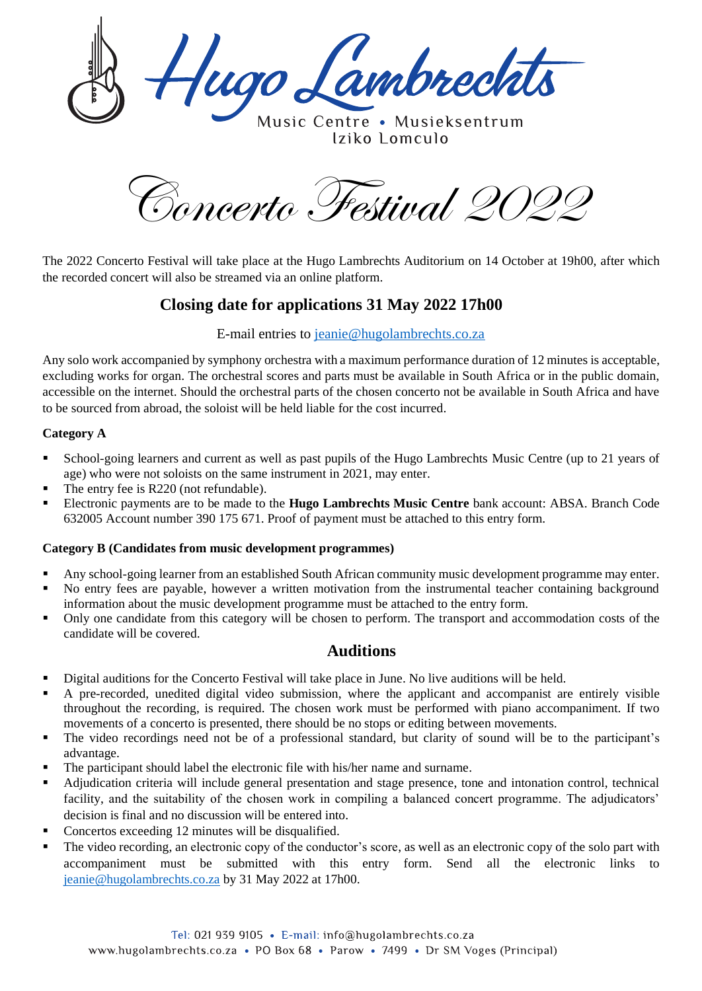lugo Lambrechts

Music Centre . Musieksentrum Iziko Lomculo

Concerto Festival 2022

The 2022 Concerto Festival will take place at the Hugo Lambrechts Auditorium on 14 October at 19h00, after which the recorded concert will also be streamed via an online platform.

# **Closing date for applications 31 May 2022 17h00**

### E-mail entries to [jeanie@hugolambrechts.co.za](mailto:jeanie@hugolambrechts.co.za)

Any solo work accompanied by symphony orchestra with a maximum performance duration of 12 minutes is acceptable, excluding works for organ. The orchestral scores and parts must be available in South Africa or in the public domain, accessible on the internet. Should the orchestral parts of the chosen concerto not be available in South Africa and have to be sourced from abroad, the soloist will be held liable for the cost incurred.

#### **Category A**

- School-going learners and current as well as past pupils of the Hugo Lambrechts Music Centre (up to 21 years of age) who were not soloists on the same instrument in 2021, may enter.
- The entry fee is R220 (not refundable).
- Electronic payments are to be made to the **Hugo Lambrechts Music Centre** bank account: ABSA. Branch Code 632005 Account number 390 175 671. Proof of payment must be attached to this entry form.

#### **Category B (Candidates from music development programmes)**

- Any school-going learner from an established South African community music development programme may enter.
- No entry fees are payable, however a written motivation from the instrumental teacher containing background information about the music development programme must be attached to the entry form.
- Only one candidate from this category will be chosen to perform. The transport and accommodation costs of the candidate will be covered.

### **Auditions**

- Digital auditions for the Concerto Festival will take place in June. No live auditions will be held.
- A pre-recorded, unedited digital video submission, where the applicant and accompanist are entirely visible throughout the recording, is required. The chosen work must be performed with piano accompaniment. If two movements of a concerto is presented, there should be no stops or editing between movements.
- The video recordings need not be of a professional standard, but clarity of sound will be to the participant's advantage.
- The participant should label the electronic file with his/her name and surname.
- Adjudication criteria will include general presentation and stage presence, tone and intonation control, technical facility, and the suitability of the chosen work in compiling a balanced concert programme. The adjudicators' decision is final and no discussion will be entered into.
- Concertos exceeding 12 minutes will be disqualified.
- The video recording, an electronic copy of the conductor's score, as well as an electronic copy of the solo part with accompaniment must be submitted with this entry form. Send all the electronic links to [jeanie@hugolambrechts.co.za](mailto:jeanie@hugolambrechts.co.za) by 31 May 2022 at 17h00.